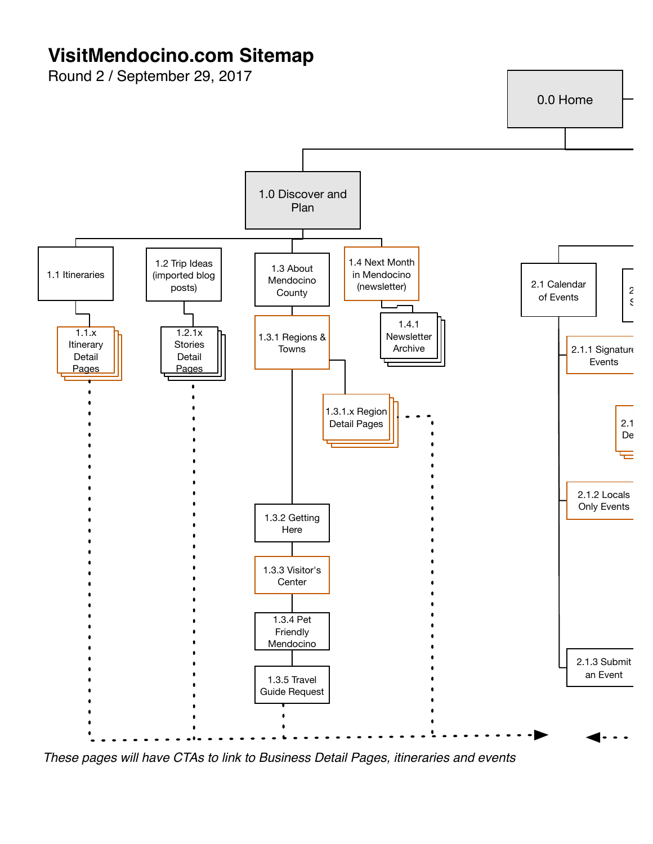## **VisitMendocino.com Sitemap**

Round 2 / September 29, 2017



*These pages will have CTAs to link to Business Detail Pages, itineraries and events*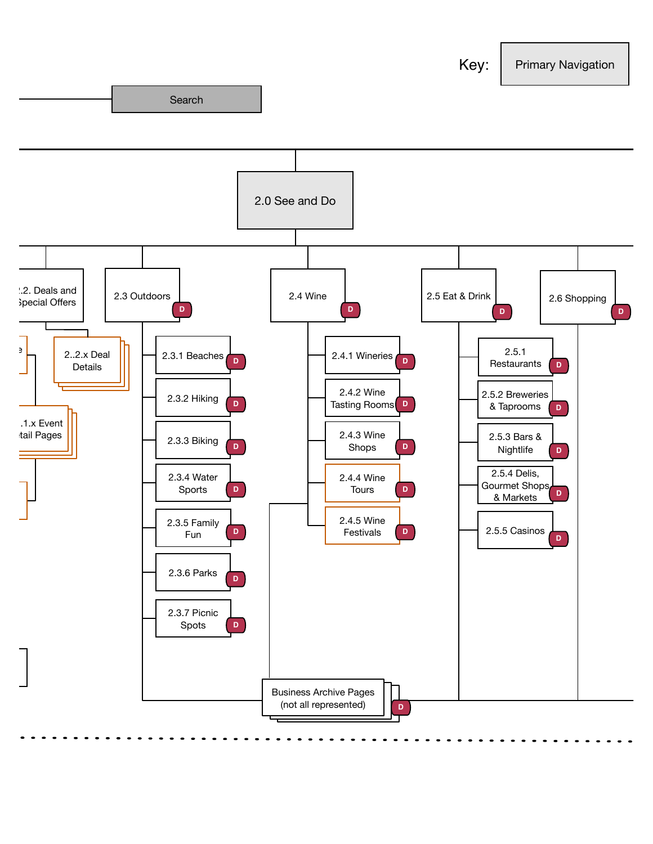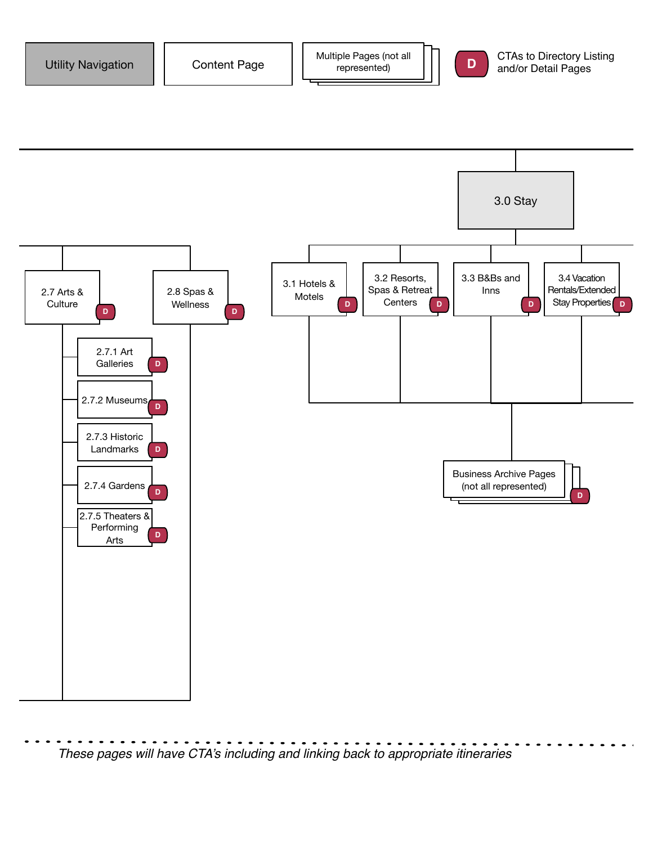





*These pages will have CTA's including and linking back to appropriate itineraries*